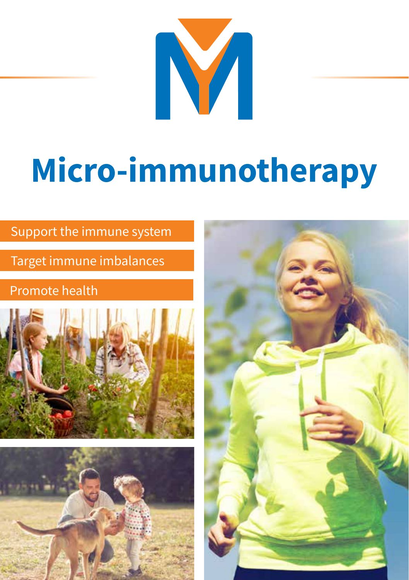

# **Micro-immunotherapy**

### Support the immune system

Target immune imbalances

Promote health





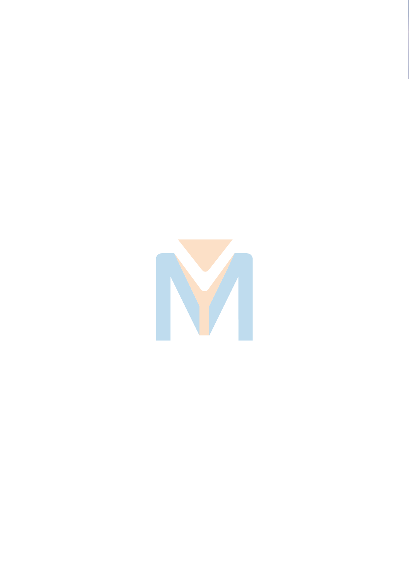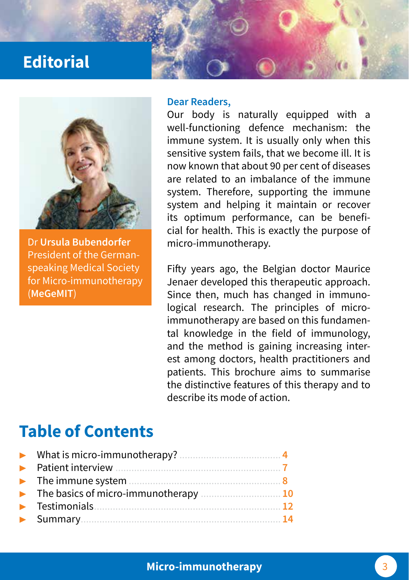### **Editorial**



Dr **Ursula Bubendorfer** President of the Germanspeaking Medical Society for Micro-immunotherapy (**MeGeMIT**)

#### **Dear Readers,**

Our body is naturally equipped with a well-functioning defence mechanism: the immune system. It is usually only when this sensitive system fails, that we become ill. It is now known that about 90 per cent of diseases are related to an imbalance of the immune system. Therefore, supporting the immune system and helping it maintain or recover its optimum performance, can be beneficial for health. This is exactly the purpose of micro-immunotherapy.

Fifty years ago, the Belgian doctor Maurice Jenaer developed this therapeutic approach. Since then, much has changed in immunological research. The principles of microimmunotherapy are based on this fundamental knowledge in the field of immunology, and the method is gaining increasing interest among doctors, health practitioners and patients. This brochure aims to summarise the distinctive features of this therapy and to describe its mode of action.

### **Table of Contents**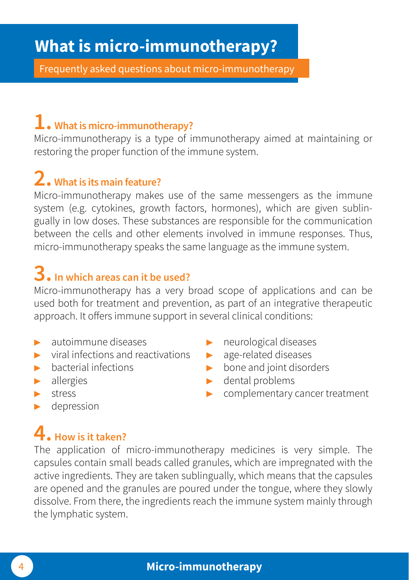Frequently asked questions about micro-immunotherapy

### **1. What is micro-immunotherapy?**

Micro-immunotherapy is a type of immunotherapy aimed at maintaining or restoring the proper function of the immune system.

### **2. What is its main feature?**

Micro-immunotherapy makes use of the same messengers as the immune system (e.g. cytokines, growth factors, hormones), which are given sublingually in low doses. These substances are responsible for the communication between the cells and other elements involved in immune responses. Thus, micro-immunotherapy speaks the same language as the immune system.

### **3. In which areas can it be used?**

Micro-immunotherapy has a very broad scope of applications and can be used both for treatment and prevention, as part of an integrative therapeutic approach. It offers immune support in several clinical conditions:

- ▶ autoimmune diseases
- ▶ viral infections and reactivations
- ▶ bacterial infections
- allergies
- stress
- depression

### ▶ neurological diseases

- ▶ age-related diseases
- ▶ bone and joint disorders
- ▶ dental problems
- ▶ complementary cancer treatment

**4. How is it taken?**

The application of micro-immunotherapy medicines is very simple. The capsules contain small beads called granules, which are impregnated with the active ingredients. They are taken sublingually, which means that the capsules are opened and the granules are poured under the tongue, where they slowly dissolve. From there, the ingredients reach the immune system mainly through the lymphatic system.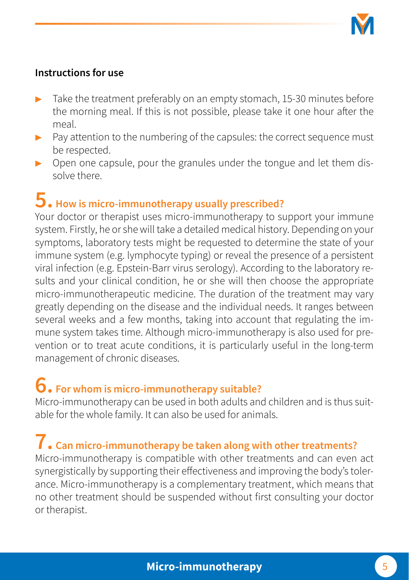

#### **Instructions for use**

- Take the treatment preferably on an empty stomach, 15-30 minutes before the morning meal. If this is not possible, please take it one hour after the meal.
- Pay attention to the numbering of the capsules: the correct sequence must be respected.
- ▶ Open one capsule, pour the granules under the tongue and let them dissolve there.

### **5. How is micro-immunotherapy usually prescribed?**

Your doctor or therapist uses micro-immunotherapy to support your immune system. Firstly, he or she will take a detailed medical history. Depending on your symptoms, laboratory tests might be requested to determine the state of your immune system (e.g. lymphocyte typing) or reveal the presence of a persistent viral infection (e.g. Epstein-Barr virus serology). According to the laboratory results and your clinical condition, he or she will then choose the appropriate micro-immunotherapeutic medicine. The duration of the treatment may vary greatly depending on the disease and the individual needs. It ranges between several weeks and a few months, taking into account that regulating the immune system takes time. Although micro-immunotherapy is also used for prevention or to treat acute conditions, it is particularly useful in the long-term management of chronic diseases.

### **6. For whom is micro-immunotherapy suitable?**

Micro-immunotherapy can be used in both adults and children and is thus suitable for the whole family. It can also be used for animals.

### **7. Can micro-immunotherapy be taken along with other treatments?**

Micro-immunotherapy is compatible with other treatments and can even act synergistically by supporting their effectiveness and improving the body's tolerance. Micro-immunotherapy is a complementary treatment, which means that no other treatment should be suspended without first consulting your doctor or therapist.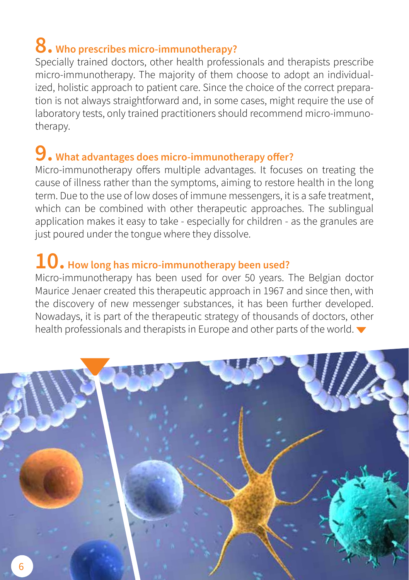## **8. Who prescribes micro-immunotherapy?**

Specially trained doctors, other health professionals and therapists prescribe micro-immunotherapy. The majority of them choose to adopt an individualized, holistic approach to patient care. Since the choice of the correct preparation is not always straightforward and, in some cases, might require the use of laboratory tests, only trained practitioners should recommend micro-immunotherapy.

### **9. What advantages does micro-immunotherapy offer?**

Micro-immunotherapy offers multiple advantages. It focuses on treating the cause of illness rather than the symptoms, aiming to restore health in the long term. Due to the use of low doses of immune messengers, it is a safe treatment, which can be combined with other therapeutic approaches. The sublingual application makes it easy to take - especially for children - as the granules are just poured under the tongue where they dissolve.

### **10. How long has micro-immunotherapy been used?**

Micro-immunotherapy has been used for over 50 years. The Belgian doctor Maurice Jenaer created this therapeutic approach in 1967 and since then, with the discovery of new messenger substances, it has been further developed. Nowadays, it is part of the therapeutic strategy of thousands of doctors, other health professionals and therapists in Europe and other parts of the world.  $\blacktriangledown$ 

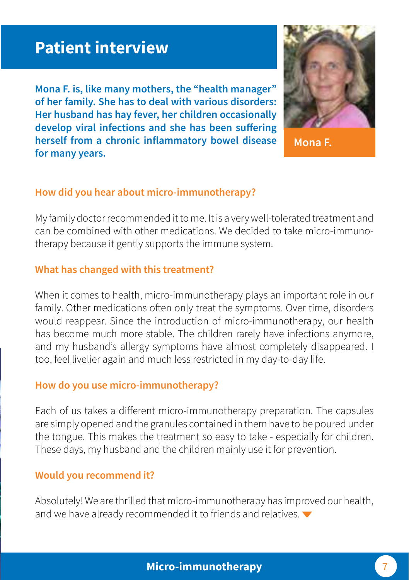### **Patient interview**

**Mona F. is, like many mothers, the "health manager" of her family. She has to deal with various disorders: Her husband has hay fever, her children occasionally develop viral infections and she has been suffering herself from a chronic inflammatory bowel disease for many years.**



**Mona F.** 

#### **How did you hear about micro-immunotherapy?**

My family doctor recommended it to me. It is a very well-tolerated treatment and can be combined with other medications. We decided to take micro-immunotherapy because it gently supports the immune system.

#### **What has changed with this treatment?**

When it comes to health, micro-immunotherapy plays an important role in our family. Other medications often only treat the symptoms. Over time, disorders would reappear. Since the introduction of micro-immunotherapy, our health has become much more stable. The children rarely have infections anymore, and my husband's allergy symptoms have almost completely disappeared. I too, feel livelier again and much less restricted in my day-to-day life.

#### **How do you use micro-immunotherapy?**

Each of us takes a different micro-immunotherapy preparation. The capsules are simply opened and the granules contained in them have to be poured under the tongue. This makes the treatment so easy to take - especially for children. These days, my husband and the children mainly use it for prevention.

#### **Would you recommend it?**

Absolutely! We are thrilled that micro-immunotherapy has improved our health, and we have already recommended it to friends and relatives.  $\blacktriangledown$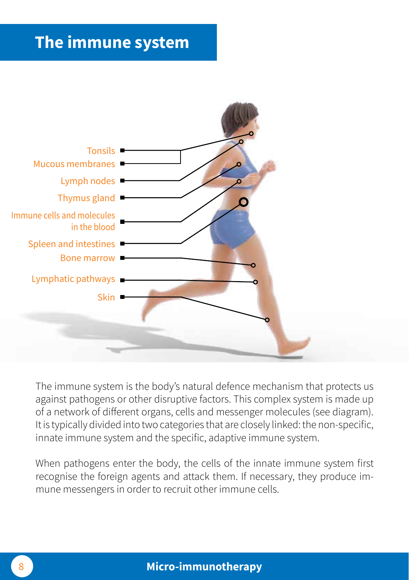### **The immune system**



The immune system is the body's natural defence mechanism that protects us against pathogens or other disruptive factors. This complex system is made up of a network of different organs, cells and messenger molecules (see diagram). It is typically divided into two categories that are closely linked: the non-specific, innate immune system and the specific, adaptive immune system.

When pathogens enter the body, the cells of the innate immune system first recognise the foreign agents and attack them. If necessary, they produce immune messengers in order to recruit other immune cells.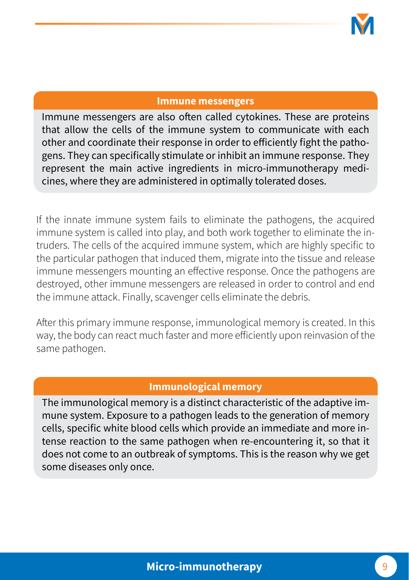

#### **Immune messengers**

Immune messengers are also often called cytokines. These are proteins that allow the cells of the immune system to communicate with each other and coordinate their response in order to efficiently fight the pathogens. They can specifically stimulate or inhibit an immune response. They represent the main active ingredients in micro-immunotherapy medicines, where they are administered in optimally tolerated doses.

If the innate immune system fails to eliminate the pathogens, the acquired immune system is called into play, and both work together to eliminate the intruders. The cells of the acquired immune system, which are highly specific to the particular pathogen that induced them, migrate into the tissue and release immune messengers mounting an effective response. Once the pathogens are destroyed, other immune messengers are released in order to control and end the immune attack. Finally, scavenger cells eliminate the debris.

After this primary immune response, immunological memory is created. In this way, the body can react much faster and more efficiently upon reinvasion of the same pathogen.

#### **Immunological memory**

The immunological memory is a distinct characteristic of the adaptive immune system. Exposure to a pathogen leads to the generation of memory cells, specific white blood cells which provide an immediate and more intense reaction to the same pathogen when re-encountering it, so that it does not come to an outbreak of symptoms. This is the reason why we get some diseases only once.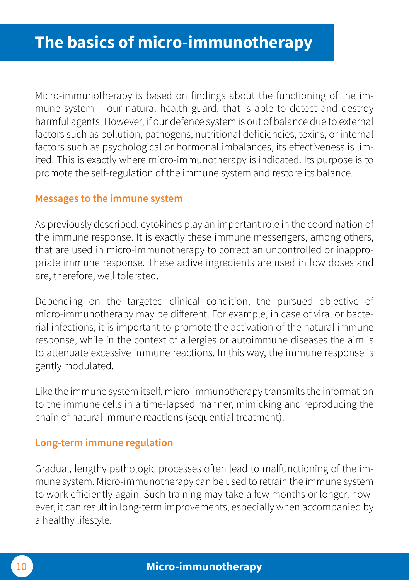Micro-immunotherapy is based on findings about the functioning of the immune system – our natural health guard, that is able to detect and destroy harmful agents. However, if our defence system is out of balance due to external factors such as pollution, pathogens, nutritional deficiencies, toxins, or internal factors such as psychological or hormonal imbalances, its effectiveness is limited. This is exactly where micro-immunotherapy is indicated. Its purpose is to promote the self-regulation of the immune system and restore its balance.

#### **Messages to the immune system**

As previously described, cytokines play an important role in the coordination of the immune response. It is exactly these immune messengers, among others, that are used in micro-immunotherapy to correct an uncontrolled or inappropriate immune response. These active ingredients are used in low doses and are, therefore, well tolerated.

Depending on the targeted clinical condition, the pursued objective of micro-immunotherapy may be different. For example, in case of viral or bacterial infections, it is important to promote the activation of the natural immune response, while in the context of allergies or autoimmune diseases the aim is to attenuate excessive immune reactions. In this way, the immune response is gently modulated.

Like the immune system itself, micro-immunotherapy transmits the information to the immune cells in a time-lapsed manner, mimicking and reproducing the chain of natural immune reactions (sequential treatment).

#### **Long-term immune regulation**

Gradual, lengthy pathologic processes often lead to malfunctioning of the immune system. Micro-immunotherapy can be used to retrain the immune system to work efficiently again. Such training may take a few months or longer, however, it can result in long-term improvements, especially when accompanied by a healthy lifestyle.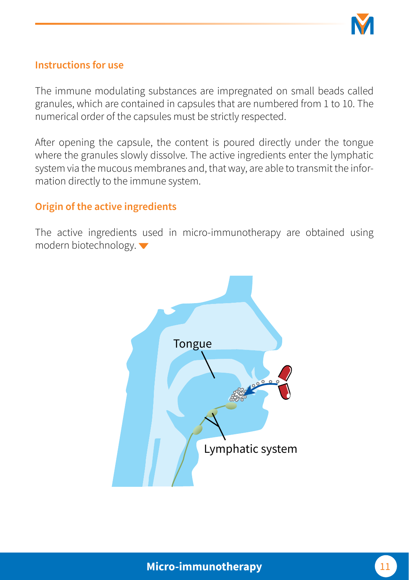

#### **Instructions for use**

The immune modulating substances are impregnated on small beads called granules, which are contained in capsules that are numbered from 1 to 10. The numerical order of the capsules must be strictly respected.

After opening the capsule, the content is poured directly under the tongue where the granules slowly dissolve. The active ingredients enter the lymphatic system via the mucous membranes and, that way, are able to transmit the information directly to the immune system.

#### **Origin of the active ingredients**

The active ingredients used in micro-immunotherapy are obtained using modern biotechnology.

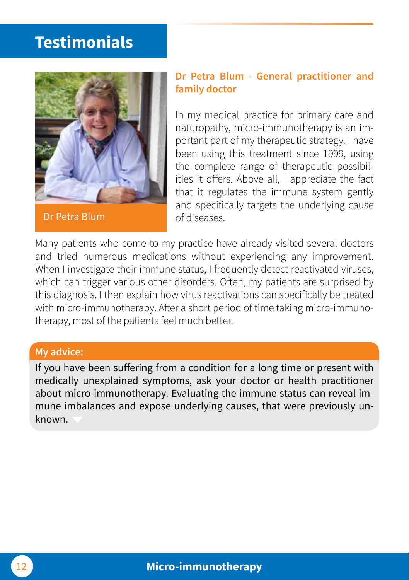### **Testimonials**



Dr Petra Blum

#### **Dr Petra Blum - General practitioner and family doctor**

In my medical practice for primary care and naturopathy, micro-immunotherapy is an important part of my therapeutic strategy. I have been using this treatment since 1999, using the complete range of therapeutic possibilities it offers. Above all, I appreciate the fact that it regulates the immune system gently and specifically targets the underlying cause of diseases.

Many patients who come to my practice have already visited several doctors and tried numerous medications without experiencing any improvement. When I investigate their immune status, I frequently detect reactivated viruses, which can trigger various other disorders. Often, my patients are surprised by this diagnosis. I then explain how virus reactivations can specifically be treated with micro-immunotherapy. After a short period of time taking micro-immunotherapy, most of the patients feel much better.

#### **My advice:**

If you have been suffering from a condition for a long time or present with medically unexplained symptoms, ask your doctor or health practitioner about micro-immunotherapy. Evaluating the immune status can reveal immune imbalances and expose underlying causes, that were previously unknown.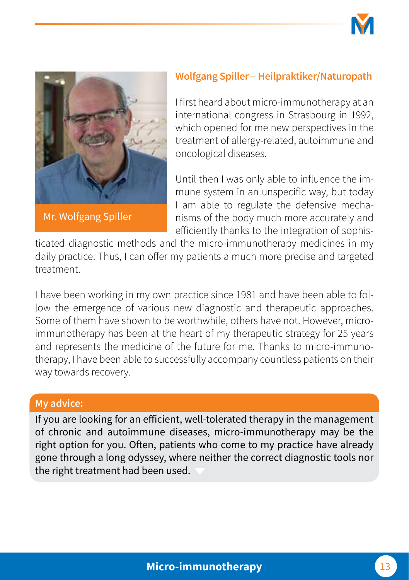



#### **Wolfgang Spiller – Heilpraktiker/Naturopath**

I first heard about micro-immunotherapy at an international congress in Strasbourg in 1992, which opened for me new perspectives in the treatment of allergy-related, autoimmune and oncological diseases.

Until then I was only able to influence the immune system in an unspecific way, but today I am able to regulate the defensive mechanisms of the body much more accurately and efficiently thanks to the integration of sophis-

ticated diagnostic methods and the micro-immunotherapy medicines in my daily practice. Thus, I can offer my patients a much more precise and targeted treatment.

I have been working in my own practice since 1981 and have been able to follow the emergence of various new diagnostic and therapeutic approaches. Some of them have shown to be worthwhile, others have not. However, microimmunotherapy has been at the heart of my therapeutic strategy for 25 years and represents the medicine of the future for me. Thanks to micro-immunotherapy, I have been able to successfully accompany countless patients on their way towards recovery.

#### **My advice:**

If you are looking for an efficient, well-tolerated therapy in the management of chronic and autoimmune diseases, micro-immunotherapy may be the right option for you. Often, patients who come to my practice have already gone through a long odyssey, where neither the correct diagnostic tools nor the right treatment had been used.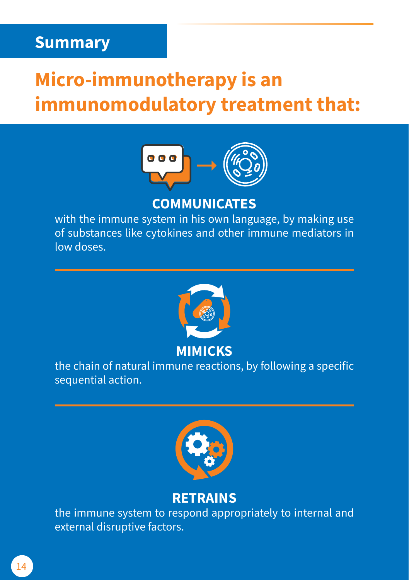### **Summary**

### **Micro-immunotherapy is an immunomodulatory treatment that:**



#### **COMMUNICATES**

with the immune system in his own language, by making use of substances like cytokines and other immune mediators in low doses.



#### the chain of natural immune reactions, by following a specific sequential action.



#### **RETRAINS**

the immune system to respond appropriately to internal and external disruptive factors.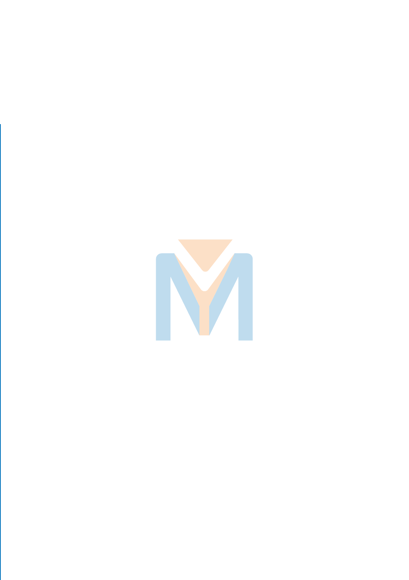